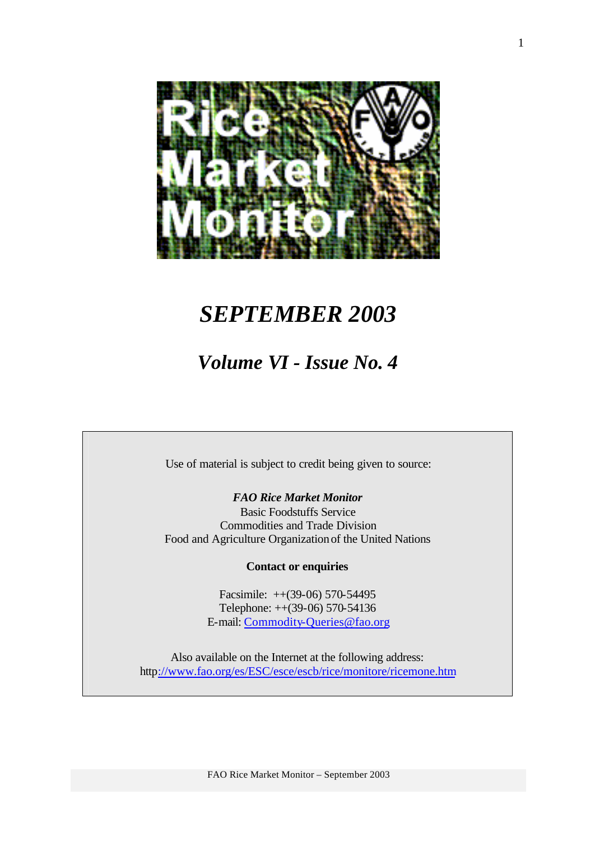

# *SEPTEMBER 2003*

# *Volume VI - Issue No. 4*

Use of material is subject to credit being given to source:

*FAO Rice Market Monitor*

Basic Foodstuffs Service Commodities and Trade Division Food and Agriculture Organization of the United Nations

**Contact or enquiries**

Facsimile: ++(39-06) 570-54495 Telephone: ++(39-06) 570-54136 E-mail: Commodity-Queries@fao.org

Also available on the Internet at the following address: http://www.fao.org/es/ESC/esce/escb/rice/monitore/ricemone.htm

FAO Rice Market Monitor – September 2003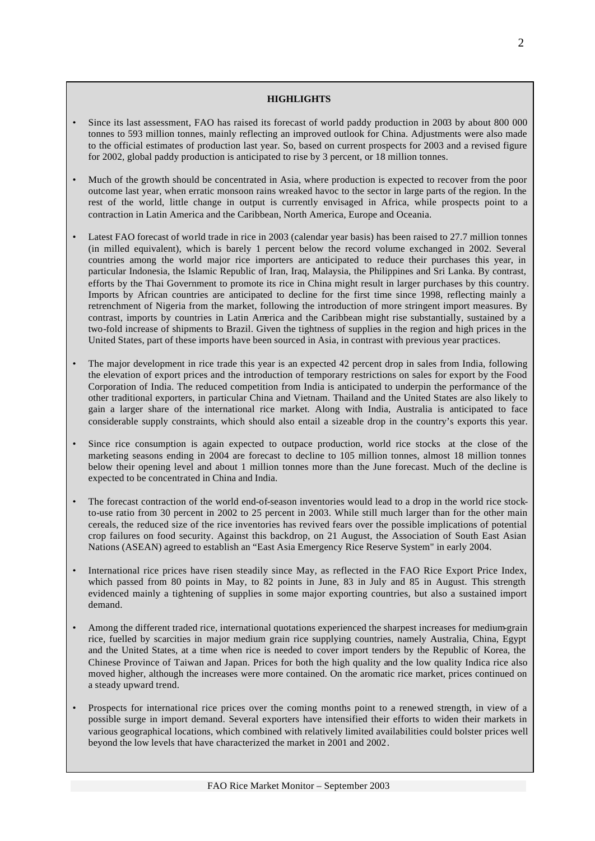#### **HIGHLIGHTS**

- Since its last assessment, FAO has raised its forecast of world paddy production in 2003 by about 800 000 tonnes to 593 million tonnes, mainly reflecting an improved outlook for China. Adjustments were also made to the official estimates of production last year. So, based on current prospects for 2003 and a revised figure for 2002, global paddy production is anticipated to rise by 3 percent, or 18 million tonnes.
- Much of the growth should be concentrated in Asia, where production is expected to recover from the poor outcome last year, when erratic monsoon rains wreaked havoc to the sector in large parts of the region. In the rest of the world, little change in output is currently envisaged in Africa, while prospects point to a contraction in Latin America and the Caribbean, North America, Europe and Oceania.
- Latest FAO forecast of world trade in rice in 2003 (calendar year basis) has been raised to 27.7 million tonnes (in milled equivalent), which is barely 1 percent below the record volume exchanged in 2002. Several countries among the world major rice importers are anticipated to reduce their purchases this year, in particular Indonesia, the Islamic Republic of Iran, Iraq, Malaysia, the Philippines and Sri Lanka. By contrast, efforts by the Thai Government to promote its rice in China might result in larger purchases by this country. Imports by African countries are anticipated to decline for the first time since 1998, reflecting mainly a retrenchment of Nigeria from the market, following the introduction of more stringent import measures. By contrast, imports by countries in Latin America and the Caribbean might rise substantially, sustained by a two-fold increase of shipments to Brazil. Given the tightness of supplies in the region and high prices in the United States, part of these imports have been sourced in Asia, in contrast with previous year practices.
- The major development in rice trade this year is an expected 42 percent drop in sales from India, following the elevation of export prices and the introduction of temporary restrictions on sales for export by the Food Corporation of India. The reduced competition from India is anticipated to underpin the performance of the other traditional exporters, in particular China and Vietnam. Thailand and the United States are also likely to gain a larger share of the international rice market. Along with India, Australia is anticipated to face considerable supply constraints, which should also entail a sizeable drop in the country's exports this year.
- Since rice consumption is again expected to outpace production, world rice stocks at the close of the marketing seasons ending in 2004 are forecast to decline to 105 million tonnes, almost 18 million tonnes below their opening level and about 1 million tonnes more than the June forecast. Much of the decline is expected to be concentrated in China and India.
- The forecast contraction of the world end-of-season inventories would lead to a drop in the world rice stockto-use ratio from 30 percent in 2002 to 25 percent in 2003. While still much larger than for the other main cereals, the reduced size of the rice inventories has revived fears over the possible implications of potential crop failures on food security. Against this backdrop, on 21 August, the Association of South East Asian Nations (ASEAN) agreed to establish an "East Asia Emergency Rice Reserve System" in early 2004.
- International rice prices have risen steadily since May, as reflected in the FAO Rice Export Price Index, which passed from 80 points in May, to 82 points in June, 83 in July and 85 in August. This strength evidenced mainly a tightening of supplies in some major exporting countries, but also a sustained import demand.
- Among the different traded rice, international quotations experienced the sharpest increases for medium-grain rice, fuelled by scarcities in major medium grain rice supplying countries, namely Australia, China, Egypt and the United States, at a time when rice is needed to cover import tenders by the Republic of Korea, the Chinese Province of Taiwan and Japan. Prices for both the high quality and the low quality Indica rice also moved higher, although the increases were more contained. On the aromatic rice market, prices continued on a steady upward trend.
- Prospects for international rice prices over the coming months point to a renewed strength, in view of a possible surge in import demand. Several exporters have intensified their efforts to widen their markets in various geographical locations, which combined with relatively limited availabilities could bolster prices well beyond the low levels that have characterized the market in 2001 and 2002.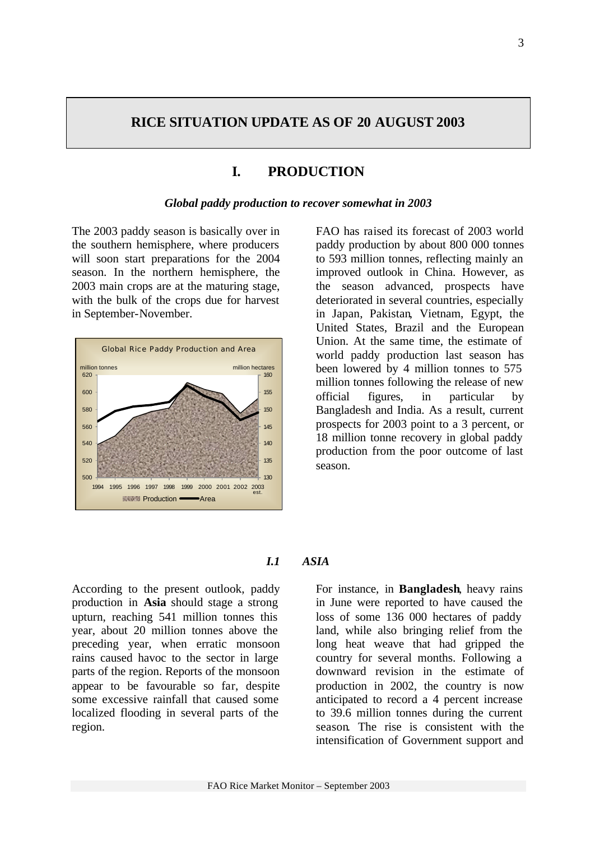# **RICE SITUATION UPDATE AS OF 20 AUGUST 2003**

# **I. PRODUCTION**

#### *Global paddy production to recover somewhat in 2003*

The 2003 paddy season is basically over in the southern hemisphere, where producers will soon start preparations for the 2004 season. In the northern hemisphere, the 2003 main crops are at the maturing stage, with the bulk of the crops due for harvest in September-November.



FAO has raised its forecast of 2003 world paddy production by about 800 000 tonnes to 593 million tonnes, reflecting mainly an improved outlook in China. However, as the season advanced, prospects have deteriorated in several countries, especially in Japan, Pakistan, Vietnam, Egypt, the United States, Brazil and the European Union. At the same time, the estimate of world paddy production last season has been lowered by 4 million tonnes to 575 million tonnes following the release of new official figures, in particular by Bangladesh and India. As a result, current prospects for 2003 point to a 3 percent, or 18 million tonne recovery in global paddy production from the poor outcome of last season.

#### *I.1 ASIA*

According to the present outlook, paddy production in **Asia** should stage a strong upturn, reaching 541 million tonnes this year, about 20 million tonnes above the preceding year, when erratic monsoon rains caused havoc to the sector in large parts of the region. Reports of the monsoon appear to be favourable so far, despite some excessive rainfall that caused some localized flooding in several parts of the region.

For instance, in **Bangladesh**, heavy rains in June were reported to have caused the loss of some 136 000 hectares of paddy land, while also bringing relief from the long heat weave that had gripped the country for several months. Following a downward revision in the estimate of production in 2002, the country is now anticipated to record a 4 percent increase to 39.6 million tonnes during the current season. The rise is consistent with the intensification of Government support and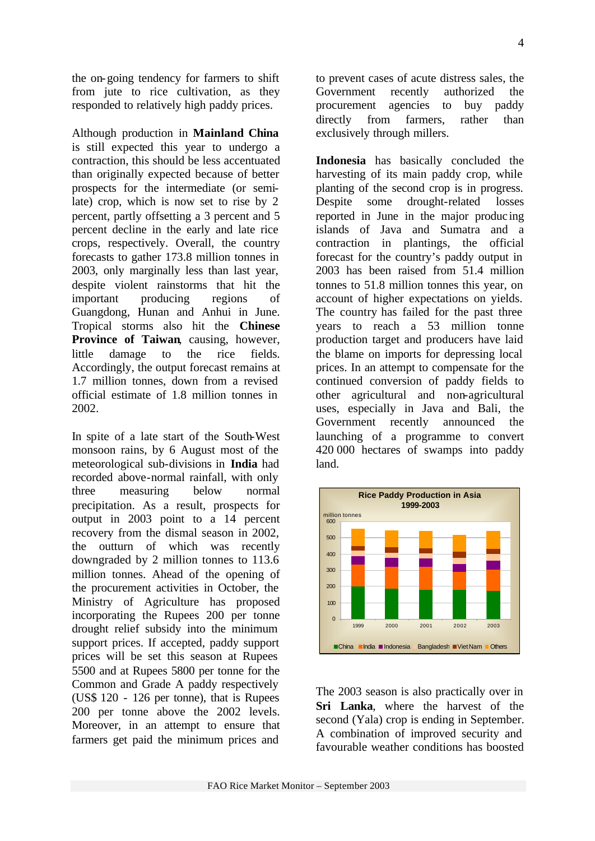the on-going tendency for farmers to shift from jute to rice cultivation, as they responded to relatively high paddy prices.

Although production in **Mainland China** is still expected this year to undergo a contraction, this should be less accentuated than originally expected because of better prospects for the intermediate (or semilate) crop, which is now set to rise by 2 percent, partly offsetting a 3 percent and 5 percent decline in the early and late rice crops, respectively. Overall, the country forecasts to gather 173.8 million tonnes in 2003, only marginally less than last year, despite violent rainstorms that hit the important producing regions of Guangdong, Hunan and Anhui in June. Tropical storms also hit the **Chinese Province of Taiwan**, causing, however, little damage to the rice fields. Accordingly, the output forecast remains at 1.7 million tonnes, down from a revised official estimate of 1.8 million tonnes in 2002.

In spite of a late start of the South-West monsoon rains, by 6 August most of the meteorological sub-divisions in **India** had recorded above-normal rainfall, with only three measuring below normal precipitation. As a result, prospects for output in 2003 point to a 14 percent recovery from the dismal season in 2002, the outturn of which was recently downgraded by 2 million tonnes to 113.6 million tonnes. Ahead of the opening of the procurement activities in October, the Ministry of Agriculture has proposed incorporating the Rupees 200 per tonne drought relief subsidy into the minimum support prices. If accepted, paddy support prices will be set this season at Rupees 5500 and at Rupees 5800 per tonne for the Common and Grade A paddy respectively (US\$ 120 - 126 per tonne), that is Rupees 200 per tonne above the 2002 levels. Moreover, in an attempt to ensure that farmers get paid the minimum prices and

to prevent cases of acute distress sales, the Government recently authorized the procurement agencies to buy paddy directly from farmers, rather than exclusively through millers.

**Indonesia** has basically concluded the harvesting of its main paddy crop, while planting of the second crop is in progress. Despite some drought-related losses reported in June in the major produc ing islands of Java and Sumatra and a contraction in plantings, the official forecast for the country's paddy output in 2003 has been raised from 51.4 million tonnes to 51.8 million tonnes this year, on account of higher expectations on yields. The country has failed for the past three years to reach a 53 million tonne production target and producers have laid the blame on imports for depressing local prices. In an attempt to compensate for the continued conversion of paddy fields to other agricultural and non-agricultural uses, especially in Java and Bali, the Government recently announced the launching of a programme to convert 420 000 hectares of swamps into paddy land.



The 2003 season is also practically over in **Sri Lanka**, where the harvest of the second (Yala) crop is ending in September. A combination of improved security and favourable weather conditions has boosted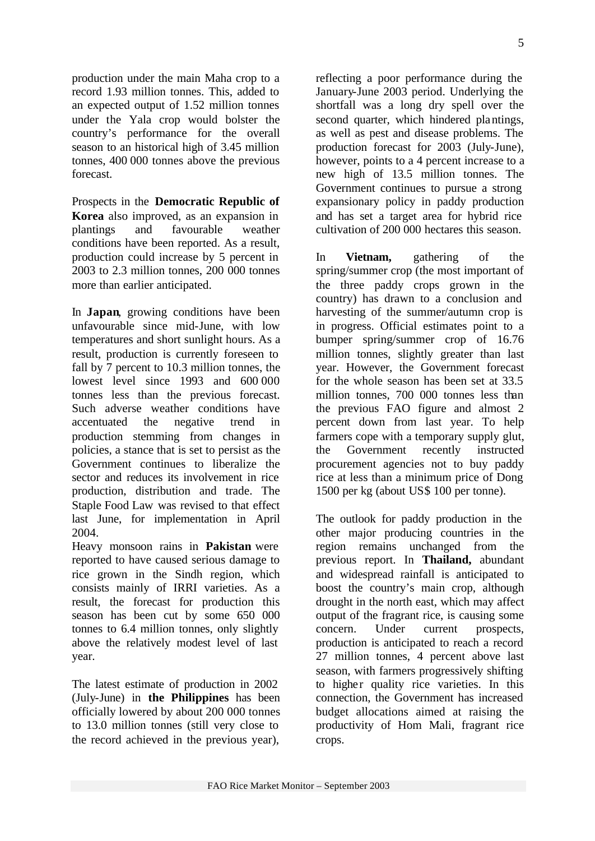production under the main Maha crop to a record 1.93 million tonnes. This, added to an expected output of 1.52 million tonnes under the Yala crop would bolster the country's performance for the overall season to an historical high of 3.45 million tonnes, 400 000 tonnes above the previous forecast.

Prospects in the **Democratic Republic of Korea** also improved, as an expansion in plantings and favourable weather conditions have been reported. As a result, production could increase by 5 percent in 2003 to 2.3 million tonnes, 200 000 tonnes more than earlier anticipated.

In **Japan**, growing conditions have been unfavourable since mid-June, with low temperatures and short sunlight hours. As a result, production is currently foreseen to fall by 7 percent to 10.3 million tonnes, the lowest level since 1993 and 600 000 tonnes less than the previous forecast. Such adverse weather conditions have accentuated the negative trend in production stemming from changes in policies, a stance that is set to persist as the Government continues to liberalize the sector and reduces its involvement in rice production, distribution and trade. The Staple Food Law was revised to that effect last June, for implementation in April 2004.

Heavy monsoon rains in **Pakistan** were reported to have caused serious damage to rice grown in the Sindh region, which consists mainly of IRRI varieties. As a result, the forecast for production this season has been cut by some 650 000 tonnes to 6.4 million tonnes, only slightly above the relatively modest level of last year.

The latest estimate of production in 2002 (July-June) in **the Philippines** has been officially lowered by about 200 000 tonnes to 13.0 million tonnes (still very close to the record achieved in the previous year),

reflecting a poor performance during the January-June 2003 period. Underlying the shortfall was a long dry spell over the second quarter, which hindered plantings, as well as pest and disease problems. The production forecast for 2003 (July-June), however, points to a 4 percent increase to a new high of 13.5 million tonnes. The Government continues to pursue a strong expansionary policy in paddy production and has set a target area for hybrid rice cultivation of 200 000 hectares this season.

In **Vietnam,** gathering of the spring/summer crop (the most important of the three paddy crops grown in the country) has drawn to a conclusion and harvesting of the summer/autumn crop is in progress. Official estimates point to a bumper spring/summer crop of 16.76 million tonnes, slightly greater than last year. However, the Government forecast for the whole season has been set at 33.5 million tonnes, 700 000 tonnes less than the previous FAO figure and almost 2 percent down from last year. To help farmers cope with a temporary supply glut, the Government recently instructed procurement agencies not to buy paddy rice at less than a minimum price of Dong 1500 per kg (about US\$ 100 per tonne).

The outlook for paddy production in the other major producing countries in the region remains unchanged from the previous report. In **Thailand,** abundant and widespread rainfall is anticipated to boost the country's main crop, although drought in the north east, which may affect output of the fragrant rice, is causing some concern. Under current prospects, production is anticipated to reach a record 27 million tonnes, 4 percent above last season, with farmers progressively shifting to higher quality rice varieties. In this connection, the Government has increased budget allocations aimed at raising the productivity of Hom Mali, fragrant rice crops.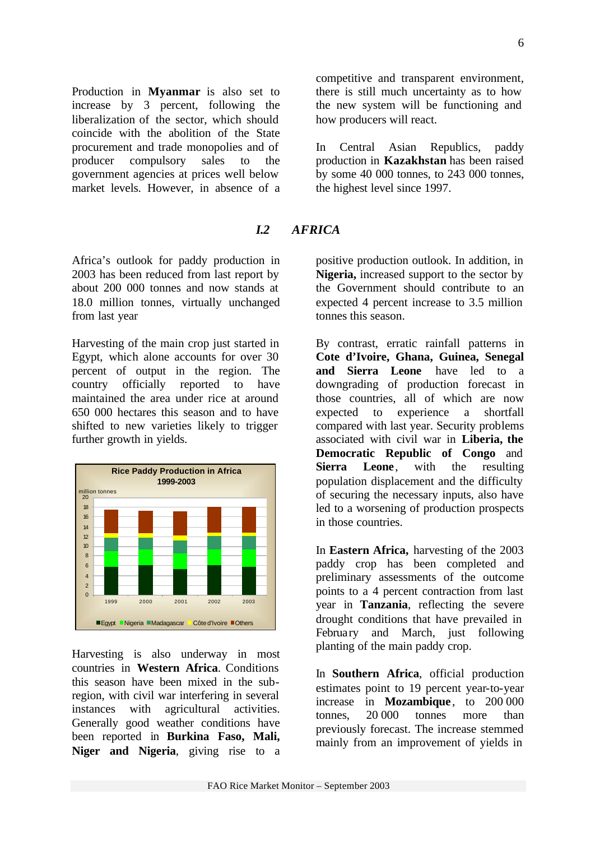Production in **Myanmar** is also set to increase by 3 percent, following the liberalization of the sector, which should coincide with the abolition of the State procurement and trade monopolies and of producer compulsory sales to the government agencies at prices well below market levels. However, in absence of a

*I.2 AFRICA*

Africa's outlook for paddy production in 2003 has been reduced from last report by about 200 000 tonnes and now stands at 18.0 million tonnes, virtually unchanged from last year

Harvesting of the main crop just started in Egypt, which alone accounts for over 30 percent of output in the region. The country officially reported to have maintained the area under rice at around 650 000 hectares this season and to have shifted to new varieties likely to trigger further growth in yields.



Harvesting is also underway in most countries in **Western Africa**. Conditions this season have been mixed in the subregion, with civil war interfering in several instances with agricultural activities. Generally good weather conditions have been reported in **Burkina Faso, Mali, Niger and Nigeria**, giving rise to a competitive and transparent environment, there is still much uncertainty as to how the new system will be functioning and how producers will react.

In Central Asian Republics, paddy production in **Kazakhstan** has been raised by some 40 000 tonnes, to 243 000 tonnes, the highest level since 1997.

positive production outlook. In addition, in **Nigeria,** increased support to the sector by the Government should contribute to an expected 4 percent increase to 3.5 million tonnes this season.

By contrast, erratic rainfall patterns in **Cote d'Ivoire, Ghana, Guinea, Senegal and Sierra Leone** have led to a downgrading of production forecast in those countries, all of which are now expected to experience a shortfall compared with last year. Security problems associated with civil war in **Liberia, the Democratic Republic of Congo** and **Sierra Leone**, with the resulting population displacement and the difficulty of securing the necessary inputs, also have led to a worsening of production prospects in those countries.

In **Eastern Africa,** harvesting of the 2003 paddy crop has been completed and preliminary assessments of the outcome points to a 4 percent contraction from last year in **Tanzania**, reflecting the severe drought conditions that have prevailed in February and March, just following planting of the main paddy crop.

In **Southern Africa**, official production estimates point to 19 percent year-to-year increase in **Mozambique**, to 200 000 tonnes, 20 000 tonnes more than previously forecast. The increase stemmed mainly from an improvement of yields in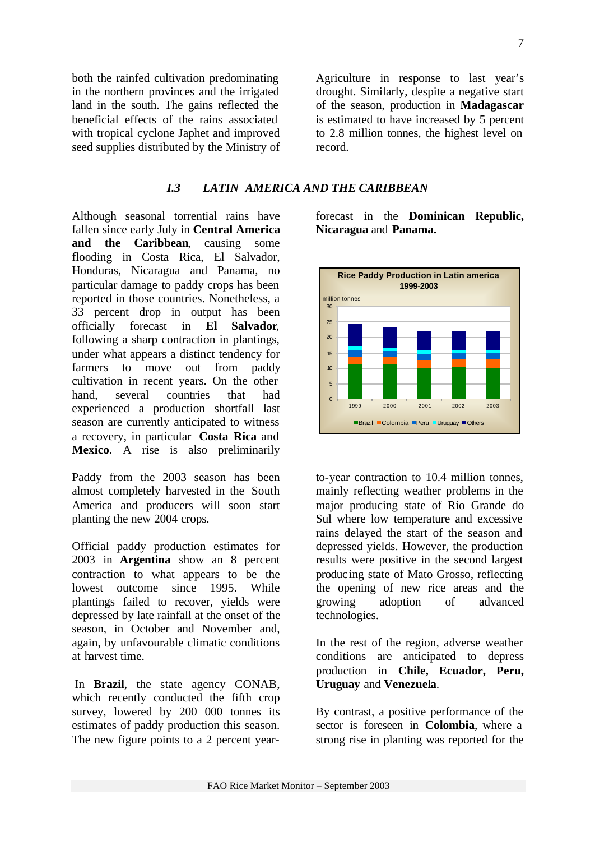both the rainfed cultivation predominating in the northern provinces and the irrigated land in the south. The gains reflected the beneficial effects of the rains associated with tropical cyclone Japhet and improved seed supplies distributed by the Ministry of

Agriculture in response to last year's drought. Similarly, despite a negative start of the season, production in **Madagascar** is estimated to have increased by 5 percent to 2.8 million tonnes, the highest level on record.

#### *I.3 LATIN AMERICA AND THE CARIBBEAN*

Although seasonal torrential rains have fallen since early July in **Central America and the Caribbean**, causing some flooding in Costa Rica, El Salvador, Honduras, Nicaragua and Panama, no particular damage to paddy crops has been reported in those countries. Nonetheless, a 33 percent drop in output has been officially forecast in **El Salvador**, following a sharp contraction in plantings, under what appears a distinct tendency for farmers to move out from paddy cultivation in recent years. On the other hand, several countries that had experienced a production shortfall last season are currently anticipated to witness a recovery, in particular **Costa Rica** and **Mexico**. A rise is also preliminarily

Paddy from the 2003 season has been almost completely harvested in the South America and producers will soon start planting the new 2004 crops.

Official paddy production estimates for 2003 in **Argentina** show an 8 percent contraction to what appears to be the lowest outcome since 1995. While plantings failed to recover, yields were depressed by late rainfall at the onset of the season, in October and November and, again, by unfavourable climatic conditions at harvest time.

 In **Brazil**, the state agency CONAB, which recently conducted the fifth crop survey, lowered by 200 000 tonnes its estimates of paddy production this season. The new figure points to a 2 percent yearforecast in the **Dominican Republic, Nicaragua** and **Panama.**



to-year contraction to 10.4 million tonnes, mainly reflecting weather problems in the major producing state of Rio Grande do Sul where low temperature and excessive rains delayed the start of the season and depressed yields. However, the production results were positive in the second largest producing state of Mato Grosso, reflecting the opening of new rice areas and the growing adoption of advanced technologies.

In the rest of the region, adverse weather conditions are anticipated to depress production in **Chile, Ecuador, Peru, Uruguay** and **Venezuela**.

By contrast, a positive performance of the sector is foreseen in **Colombia**, where a strong rise in planting was reported for the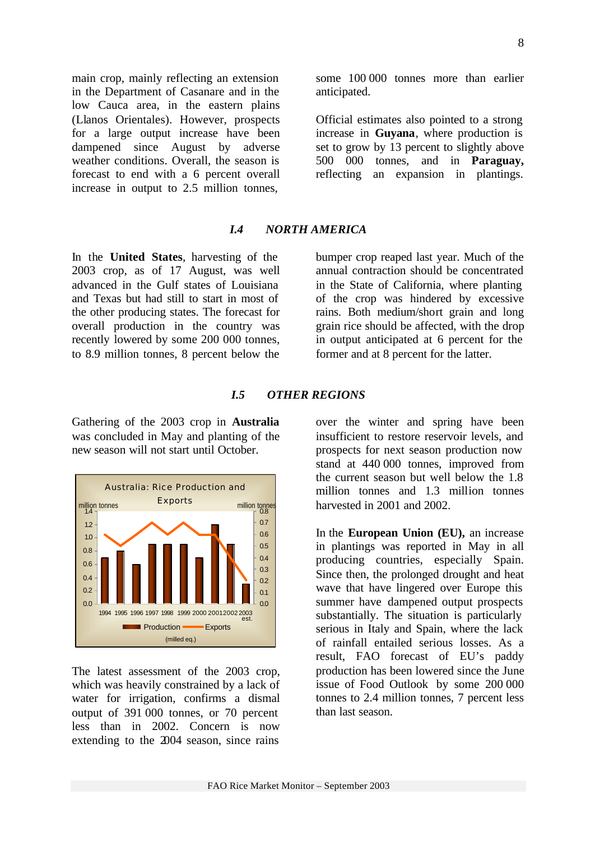main crop, mainly reflecting an extension in the Department of Casanare and in the low Cauca area, in the eastern plains (Llanos Orientales). However, prospects for a large output increase have been dampened since August by adverse weather conditions. Overall, the season is forecast to end with a 6 percent overall increase in output to 2.5 million tonnes,

### *I.4 NORTH AMERICA*

anticipated.

In the **United States**, harvesting of the 2003 crop, as of 17 August, was well advanced in the Gulf states of Louisiana and Texas but had still to start in most of the other producing states. The forecast for overall production in the country was recently lowered by some 200 000 tonnes, to 8.9 million tonnes, 8 percent below the

bumper crop reaped last year. Much of the annual contraction should be concentrated in the State of California, where planting of the crop was hindered by excessive rains. Both medium/short grain and long grain rice should be affected, with the drop in output anticipated at 6 percent for the former and at 8 percent for the latter.

some 100 000 tonnes more than earlier

Official estimates also pointed to a strong increase in **Guyana**, where production is set to grow by 13 percent to slightly above 500 000 tonnes, and in **Paraguay,**  reflecting an expansion in plantings.

#### *I.5 OTHER REGIONS*

Gathering of the 2003 crop in **Australia** was concluded in May and planting of the new season will not start until October.



The latest assessment of the 2003 crop, which was heavily constrained by a lack of water for irrigation, confirms a dismal output of 391 000 tonnes, or 70 percent less than in 2002. Concern is now extending to the 2004 season, since rains over the winter and spring have been insufficient to restore reservoir levels, and prospects for next season production now stand at 440 000 tonnes, improved from the current season but well below the 1.8 million tonnes and 1.3 million tonnes harvested in 2001 and 2002.

In the **European Union (EU),** an increase in plantings was reported in May in all producing countries, especially Spain. Since then, the prolonged drought and heat wave that have lingered over Europe this summer have dampened output prospects substantially. The situation is particularly serious in Italy and Spain, where the lack of rainfall entailed serious losses. As a result, FAO forecast of EU's paddy production has been lowered since the June issue of Food Outlook by some 200 000 tonnes to 2.4 million tonnes, 7 percent less than last season.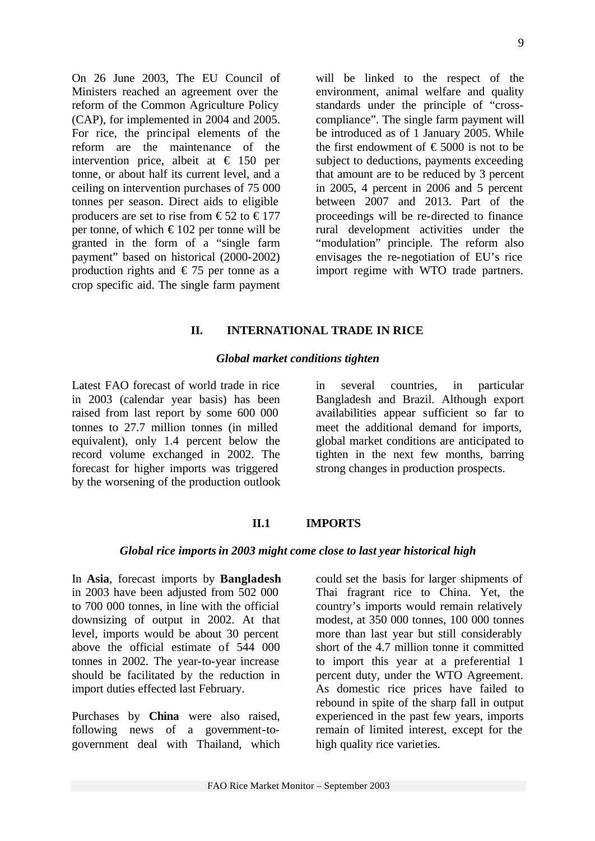On 26 June 2003, The EU Council of Ministers reached an agreement over the reform of the Common Agriculture Policy (CAP), for implemented in 2004 and 2005. For rice, the principal elements of the reform are the maintenance of the intervention price, albeit at  $\epsilon$  150 per tonne, or about half its current level, and a ceiling on intervention purchases of 75 000 tonnes per season. Direct aids to eligible producers are set to rise from  $\epsilon$ 52 to  $\epsilon$ 177 per tonne, of which  $\epsilon$ 102 per tonne will be granted in the form of a "single farm payment" based on historical (2000-2002) production rights and  $\epsilon$  75 per tonne as a crop specific aid. The single farm payment

will be linked to the respect of the environment, animal welfare and quality standards under the principle of "crosscompliance". The single farm payment will be introduced as of 1 January 2005. While the first endowment of  $\text{\textsterling}5000$  is not to be subject to deductions, payments exceeding that amount are to be reduced by 3 percent in 2005, 4 percent in 2006 and 5 percent between 2007 and 2013. Part of the proceedings will be re-directed to finance rural development activities under the "modulation" principle. The reform also envisages the re-negotiation of EU's rice import regime with WTO trade partners.

#### **II. INTERNATIONAL TRADE IN RICE**

#### *Global market conditions tighten*

Latest FAO forecast of world trade in rice in 2003 (calendar year basis) has been raised from last report by some 600 000 tonnes to 27.7 million tonnes (in milled equivalent), only 1.4 percent below the record volume exchanged in 2002. The forecast for higher imports was triggered by the worsening of the production outlook in several countries, in particular Bangladesh and Brazil. Although export availabilities appear sufficient so far to meet the additional demand for imports, global market conditions are anticipated to tighten in the next few months, barring strong changes in production prospects.

### **II.1 IMPORTS**

#### *Global rice importsin 2003 might come close to last year historical high*

In **Asia**, forecast imports by **Bangladesh** in 2003 have been adjusted from 502 000 to 700 000 tonnes, in line with the official downsizing of output in 2002. At that level, imports would be about 30 percent above the official estimate of 544 000 tonnes in 2002. The year-to-year increase should be facilitated by the reduction in import duties effected last February.

Purchases by **China** were also raised, following news of a government-togovernment deal with Thailand, which

could set the basis for larger shipments of Thai fragrant rice to China. Yet, the country's imports would remain relatively modest, at 350 000 tonnes, 100 000 tonnes more than last year but still considerably short of the 4.7 million tonne it committed to import this year at a preferential 1 percent duty, under the WTO Agreement. As domestic rice prices have failed to rebound in spite of the sharp fall in output experienced in the past few years, imports remain of limited interest, except for the high quality rice varieties.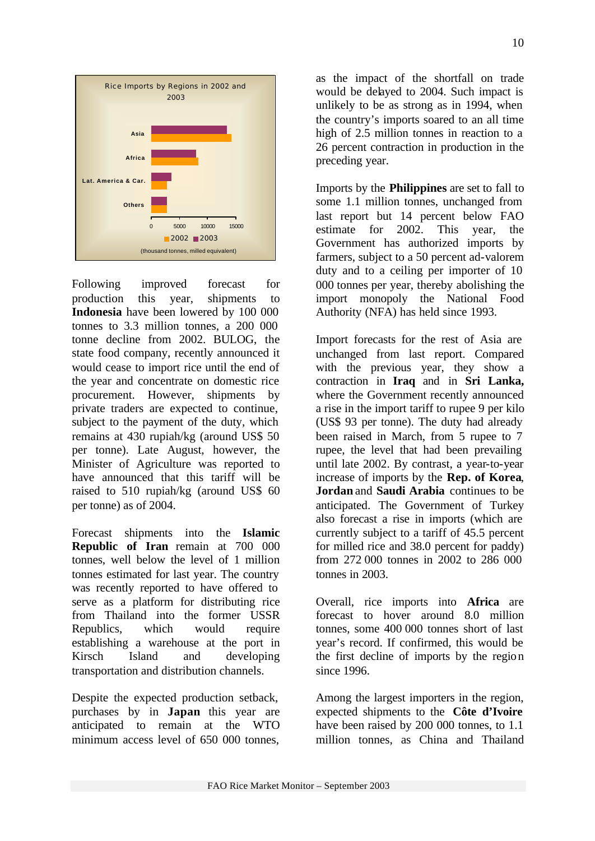

Following improved forecast for production this year, shipments to **Indonesia** have been lowered by 100 000 tonnes to 3.3 million tonnes, a 200 000 tonne decline from 2002. BULOG, the state food company, recently announced it would cease to import rice until the end of the year and concentrate on domestic rice procurement. However, shipments by private traders are expected to continue, subject to the payment of the duty, which remains at 430 rupiah/kg (around US\$ 50 per tonne). Late August, however, the Minister of Agriculture was reported to have announced that this tariff will be raised to 510 rupiah/kg (around US\$ 60 per tonne) as of 2004.

Forecast shipments into the **Islamic Republic of Iran** remain at 700 000 tonnes, well below the level of 1 million tonnes estimated for last year. The country was recently reported to have offered to serve as a platform for distributing rice from Thailand into the former USSR Republics, which would require establishing a warehouse at the port in Kirsch Island and developing transportation and distribution channels.

Despite the expected production setback, purchases by in **Japan** this year are anticipated to remain at the WTO minimum access level of 650 000 tonnes,

as the impact of the shortfall on trade would be delayed to 2004. Such impact is unlikely to be as strong as in 1994, when the country's imports soared to an all time high of 2.5 million tonnes in reaction to a 26 percent contraction in production in the preceding year.

Imports by the **Philippines** are set to fall to some 1.1 million tonnes, unchanged from last report but 14 percent below FAO estimate for 2002. This year, the Government has authorized imports by farmers, subject to a 50 percent ad-valorem duty and to a ceiling per importer of 10 000 tonnes per year, thereby abolishing the import monopoly the National Food Authority (NFA) has held since 1993.

Import forecasts for the rest of Asia are unchanged from last report. Compared with the previous year, they show a contraction in **Iraq** and in **Sri Lanka,** where the Government recently announced a rise in the import tariff to rupee 9 per kilo (US\$ 93 per tonne). The duty had already been raised in March, from 5 rupee to 7 rupee, the level that had been prevailing until late 2002. By contrast, a year-to-year increase of imports by the **Rep. of Korea**, **Jordan** and **Saudi Arabia** continues to be anticipated. The Government of Turkey also forecast a rise in imports (which are currently subject to a tariff of 45.5 percent for milled rice and 38.0 percent for paddy) from 272 000 tonnes in 2002 to 286 000 tonnes in 2003.

Overall, rice imports into **Africa** are forecast to hover around 8.0 million tonnes, some 400 000 tonnes short of last year's record. If confirmed, this would be the first decline of imports by the region since 1996.

Among the largest importers in the region, expected shipments to the **Côte d'Ivoire** have been raised by 200 000 tonnes, to 1.1 million tonnes, as China and Thailand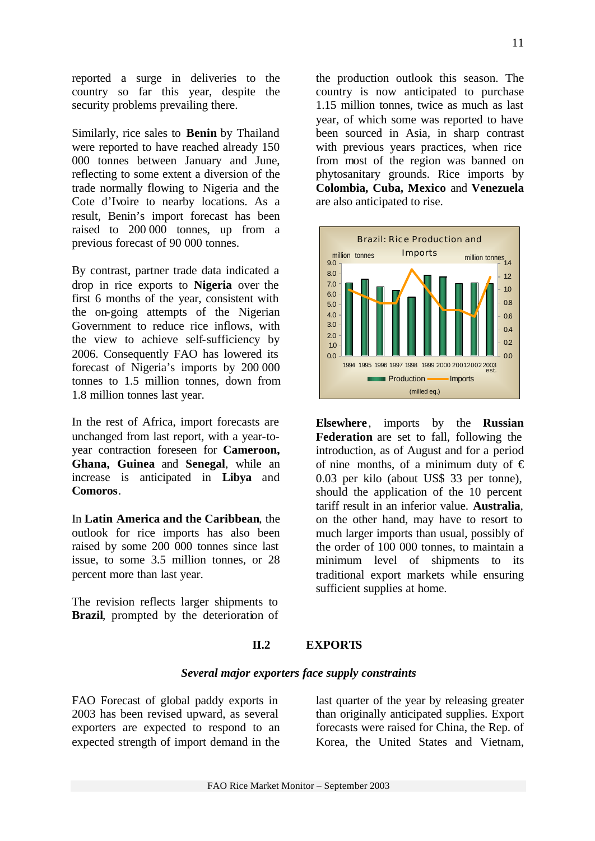reported a surge in deliveries to the country so far this year, despite the security problems prevailing there.

Similarly, rice sales to **Benin** by Thailand were reported to have reached already 150 000 tonnes between January and June, reflecting to some extent a diversion of the trade normally flowing to Nigeria and the Cote d'Ivoire to nearby locations. As a result, Benin's import forecast has been raised to 200 000 tonnes, up from a previous forecast of 90 000 tonnes.

By contrast, partner trade data indicated a drop in rice exports to **Nigeria** over the first 6 months of the year, consistent with the on-going attempts of the Nigerian Government to reduce rice inflows, with the view to achieve self-sufficiency by 2006. Consequently FAO has lowered its forecast of Nigeria's imports by 200 000 tonnes to 1.5 million tonnes, down from 1.8 million tonnes last year.

In the rest of Africa, import forecasts are unchanged from last report, with a year-toyear contraction foreseen for **Cameroon, Ghana, Guinea** and **Senegal**, while an increase is anticipated in **Libya** and **Comoros**.

In **Latin America and the Caribbean**, the outlook for rice imports has also been raised by some 200 000 tonnes since last issue, to some 3.5 million tonnes, or 28 percent more than last year.

The revision reflects larger shipments to **Brazil**, prompted by the deterioration of

the production outlook this season. The country is now anticipated to purchase 1.15 million tonnes, twice as much as last year, of which some was reported to have been sourced in Asia, in sharp contrast with previous years practices, when rice from most of the region was banned on phytosanitary grounds. Rice imports by **Colombia, Cuba, Mexico** and **Venezuela**  are also anticipated to rise.



**Elsewhere**, imports by the **Russian Federation** are set to fall, following the introduction, as of August and for a period of nine months, of a minimum duty of  $\epsilon$ 0.03 per kilo (about US\$ 33 per tonne), should the application of the 10 percent tariff result in an inferior value. **Australia**, on the other hand, may have to resort to much larger imports than usual, possibly of the order of 100 000 tonnes, to maintain a minimum level of shipments to its traditional export markets while ensuring sufficient supplies at home.

#### **II.2 EXPORTS**

#### *Several major exporters face supply constraints*

FAO Forecast of global paddy exports in 2003 has been revised upward, as several exporters are expected to respond to an expected strength of import demand in the

last quarter of the year by releasing greater than originally anticipated supplies. Export forecasts were raised for China, the Rep. of Korea, the United States and Vietnam,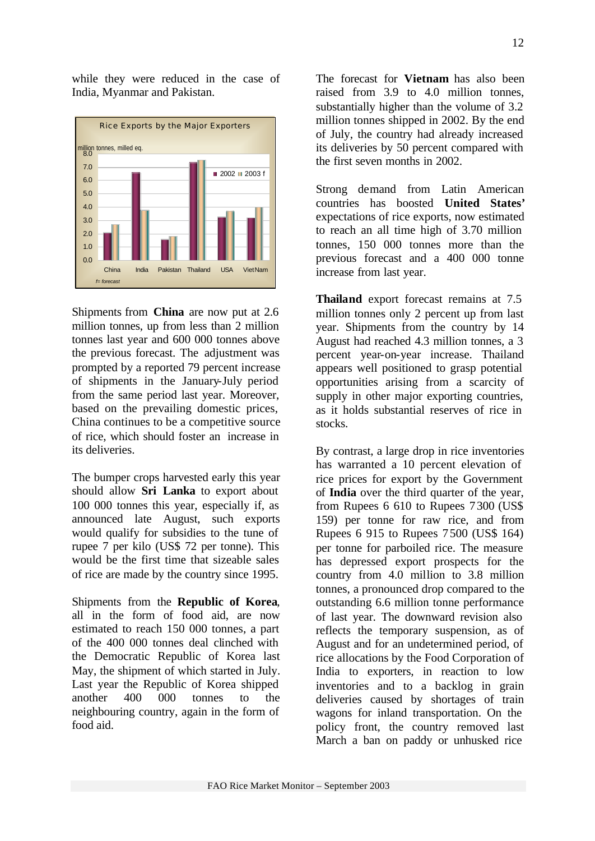

Shipments from **China** are now put at 2.6 million tonnes, up from less than 2 million tonnes last year and 600 000 tonnes above the previous forecast. The adjustment was prompted by a reported 79 percent increase of shipments in the January-July period from the same period last year. Moreover, based on the prevailing domestic prices, China continues to be a competitive source of rice, which should foster an increase in its deliveries.

The bumper crops harvested early this year should allow **Sri Lanka** to export about 100 000 tonnes this year, especially if, as announced late August, such exports would qualify for subsidies to the tune of rupee 7 per kilo (US\$ 72 per tonne). This would be the first time that sizeable sales of rice are made by the country since 1995.

Shipments from the **Republic of Korea**, all in the form of food aid, are now estimated to reach 150 000 tonnes, a part of the 400 000 tonnes deal clinched with the Democratic Republic of Korea last May, the shipment of which started in July. Last year the Republic of Korea shipped another 400 000 tonnes to the neighbouring country, again in the form of food aid.

The forecast for **Vietnam** has also been raised from 3.9 to 4.0 million tonnes, substantially higher than the volume of 3.2 million tonnes shipped in 2002. By the end of July, the country had already increased its deliveries by 50 percent compared with the first seven months in 2002.

Strong demand from Latin American countries has boosted **United States'** expectations of rice exports, now estimated to reach an all time high of 3.70 million tonnes, 150 000 tonnes more than the previous forecast and a 400 000 tonne increase from last year.

**Thailand** export forecast remains at 7.5 million tonnes only 2 percent up from last year. Shipments from the country by 14 August had reached 4.3 million tonnes, a 3 percent year-on-year increase. Thailand appears well positioned to grasp potential opportunities arising from a scarcity of supply in other major exporting countries, as it holds substantial reserves of rice in stocks.

By contrast, a large drop in rice inventories has warranted a 10 percent elevation of rice prices for export by the Government of **India** over the third quarter of the year, from Rupees 6 610 to Rupees 7300 (US\$ 159) per tonne for raw rice, and from Rupees 6 915 to Rupees 7 500 (US\$ 164) per tonne for parboiled rice. The measure has depressed export prospects for the country from 4.0 million to 3.8 million tonnes, a pronounced drop compared to the outstanding 6.6 million tonne performance of last year. The downward revision also reflects the temporary suspension, as of August and for an undetermined period, of rice allocations by the Food Corporation of India to exporters, in reaction to low inventories and to a backlog in grain deliveries caused by shortages of train wagons for inland transportation. On the policy front, the country removed last March a ban on paddy or unhusked rice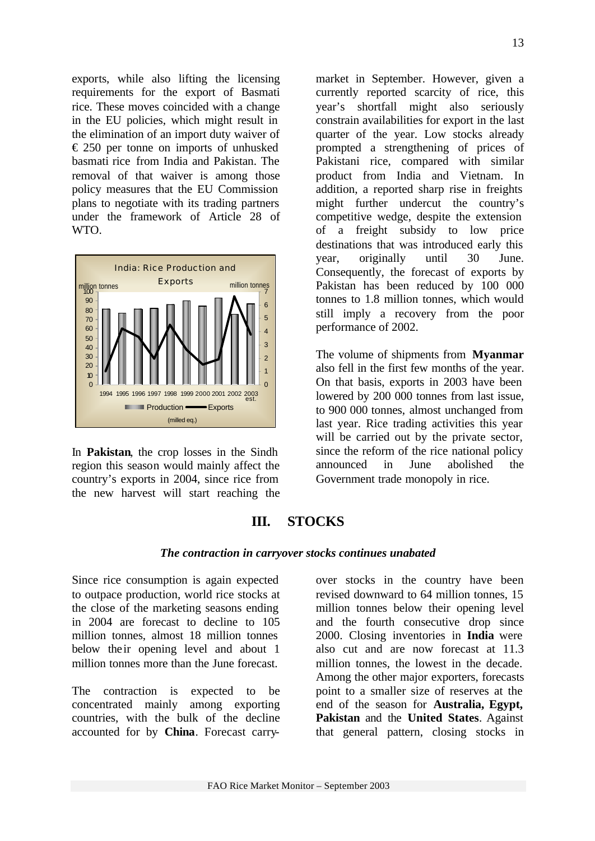exports, while also lifting the licensing requirements for the export of Basmati rice. These moves coincided with a change in the EU policies, which might result in the elimination of an import duty waiver of  $\epsilon$  250 per tonne on imports of unhusked basmati rice from India and Pakistan. The removal of that waiver is among those policy measures that the EU Commission plans to negotiate with its trading partners under the framework of Article 28 of WTO.



In **Pakistan**, the crop losses in the Sindh region this season would mainly affect the country's exports in 2004, since rice from the new harvest will start reaching the market in September. However, given a currently reported scarcity of rice, this year's shortfall might also seriously constrain availabilities for export in the last quarter of the year. Low stocks already prompted a strengthening of prices of Pakistani rice, compared with similar product from India and Vietnam. In addition, a reported sharp rise in freights might further undercut the country's competitive wedge, despite the extension of a freight subsidy to low price destinations that was introduced early this year, originally until 30 June. Consequently, the forecast of exports by Pakistan has been reduced by 100 000 tonnes to 1.8 million tonnes, which would still imply a recovery from the poor performance of 2002.

The volume of shipments from **Myanmar**  also fell in the first few months of the year. On that basis, exports in 2003 have been lowered by 200 000 tonnes from last issue, to 900 000 tonnes, almost unchanged from last year. Rice trading activities this year will be carried out by the private sector, since the reform of the rice national policy announced in June abolished the Government trade monopoly in rice.

# **III. STOCKS**

## *The contraction in carryover stocks continues unabated*

Since rice consumption is again expected to outpace production, world rice stocks at the close of the marketing seasons ending in 2004 are forecast to decline to 105 million tonnes, almost 18 million tonnes below their opening level and about 1 million tonnes more than the June forecast.

The contraction is expected to be concentrated mainly among exporting countries, with the bulk of the decline accounted for by **China**. Forecast carryover stocks in the country have been revised downward to 64 million tonnes, 15 million tonnes below their opening level and the fourth consecutive drop since 2000. Closing inventories in **India** were also cut and are now forecast at 11.3 million tonnes, the lowest in the decade. Among the other major exporters, forecasts point to a smaller size of reserves at the end of the season for **Australia, Egypt, Pakistan** and the **United States**. Against that general pattern, closing stocks in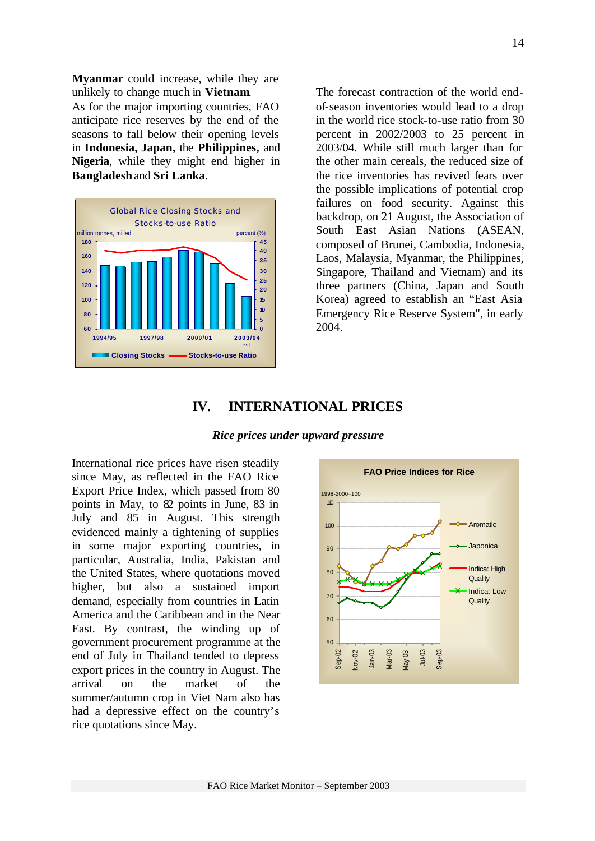**Myanmar** could increase, while they are unlikely to change much in **Vietnam**. As for the major importing countries, FAO anticipate rice reserves by the end of the seasons to fall below their opening levels in **Indonesia, Japan,** the **Philippines,** and **Nigeria**, while they might end higher in **Bangladesh** and **Sri Lanka**.



The forecast contraction of the world endof-season inventories would lead to a drop in the world rice stock-to-use ratio from 30 percent in 2002/2003 to 25 percent in 2003/04. While still much larger than for the other main cereals, the reduced size of the rice inventories has revived fears over the possible implications of potential crop failures on food security. Against this backdrop, on 21 August, the Association of South East Asian Nations (ASEAN, composed of Brunei, Cambodia, Indonesia, Laos, Malaysia, Myanmar, the Philippines, Singapore, Thailand and Vietnam) and its three partners (China, Japan and South Korea) agreed to establish an "East Asia Emergency Rice Reserve System", in early 2004.

# **IV. INTERNATIONAL PRICES**

#### *Rice prices under upward pressure*

International rice prices have risen steadily since May, as reflected in the FAO Rice Export Price Index, which passed from 80 points in May, to 82 points in June, 83 in July and 85 in August. This strength evidenced mainly a tightening of supplies in some major exporting countries, in particular, Australia, India, Pakistan and the United States, where quotations moved higher, but also a sustained import demand, especially from countries in Latin America and the Caribbean and in the Near East. By contrast, the winding up of government procurement programme at the end of July in Thailand tended to depress export prices in the country in August. The arrival on the market of the summer/autumn crop in Viet Nam also has had a depressive effect on the country's rice quotations since May.

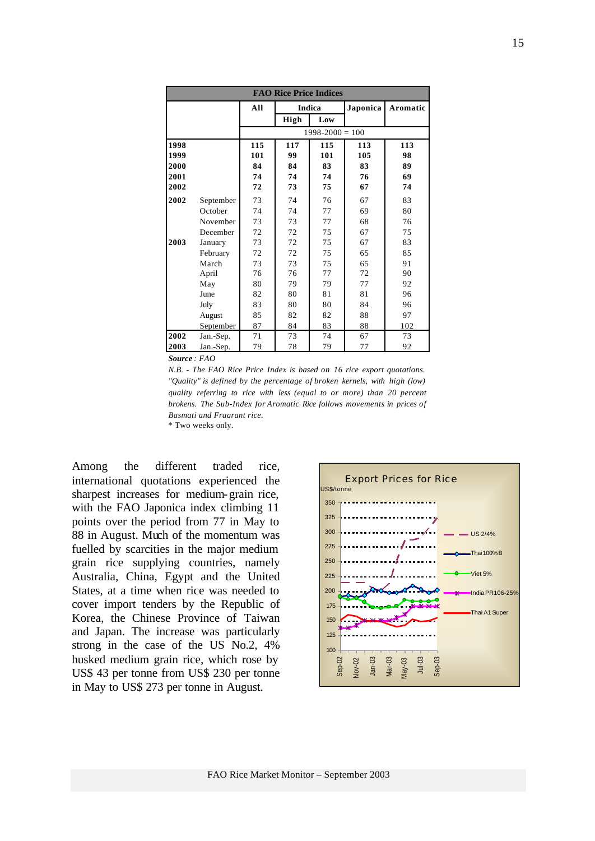| <b>FAO Rice Price Indices</b> |           |     |      |                     |          |          |  |  |
|-------------------------------|-----------|-----|------|---------------------|----------|----------|--|--|
|                               |           | All |      | Indica              | Japonica | Aromatic |  |  |
|                               |           |     | High | Low                 |          |          |  |  |
|                               |           |     |      | $1998 - 2000 = 100$ |          |          |  |  |
| 1998                          |           | 115 | 117  | 115                 | 113      | 113      |  |  |
| 1999                          |           | 101 | 99   | 101                 | 105      | 98       |  |  |
| 2000                          |           | 84  | 84   | 83                  | 83       | 89       |  |  |
| 2001                          |           | 74  | 74   | 74                  | 76       | 69       |  |  |
| 2002                          |           | 72  | 73   | 75                  | 67       | 74       |  |  |
| 2002                          | September | 73  | 74   | 76                  | 67       | 83       |  |  |
|                               | October   | 74  | 74   | 77                  | 69       | 80       |  |  |
|                               | November  | 73  | 73   | 77                  | 68       | 76       |  |  |
|                               | December  | 72  | 72   | 75                  | 67       | 75       |  |  |
| 2003                          | January   | 73  | 72   | 75                  | 67       | 83       |  |  |
|                               | February  | 72  | 72   | 75                  | 65       | 85       |  |  |
|                               | March     | 73  | 73   | 75                  | 65       | 91       |  |  |
|                               | April     | 76  | 76   | 77                  | 72       | 90       |  |  |
|                               | May       | 80  | 79   | 79                  | 77       | 92       |  |  |
|                               | June      | 82  | 80   | 81                  | 81       | 96       |  |  |
|                               | July      | 83  | 80   | 80                  | 84       | 96       |  |  |
|                               | August    | 85  | 82   | 82                  | 88       | 97       |  |  |
|                               | September | 87  | 84   | 83                  | 88       | 102      |  |  |
| 2002                          | Jan.-Sep. | 71  | 73   | 74                  | 67       | 73       |  |  |
| 2003                          | Jan.-Sep. | 79  | 78   | 79                  | 77       | 92       |  |  |

*Source : FAO* 

*N.B. - The FAO Rice Price Index is based on 16 rice export quotations. "Quality" is defined by the percentage of broken kernels, with high (low) quality referring to rice with less (equal to or more) than 20 percent brokens. The Sub-Index for Aromatic Rice follows movements in prices of Basmati and Fragrant rice.*

\* Two weeks only.

Among the different traded rice, international quotations experienced the sharpest increases for medium-grain rice, with the FAO Japonica index climbing 11 points over the period from 77 in May to 88 in August. Much of the momentum was fuelled by scarcities in the major medium grain rice supplying countries, namely Australia, China, Egypt and the United States, at a time when rice was needed to cover import tenders by the Republic of Korea, the Chinese Province of Taiwan and Japan. The increase was particularly strong in the case of the US No.2, 4% husked medium grain rice, which rose by US\$ 43 per tonne from US\$ 230 per tonne in May to US\$ 273 per tonne in August.

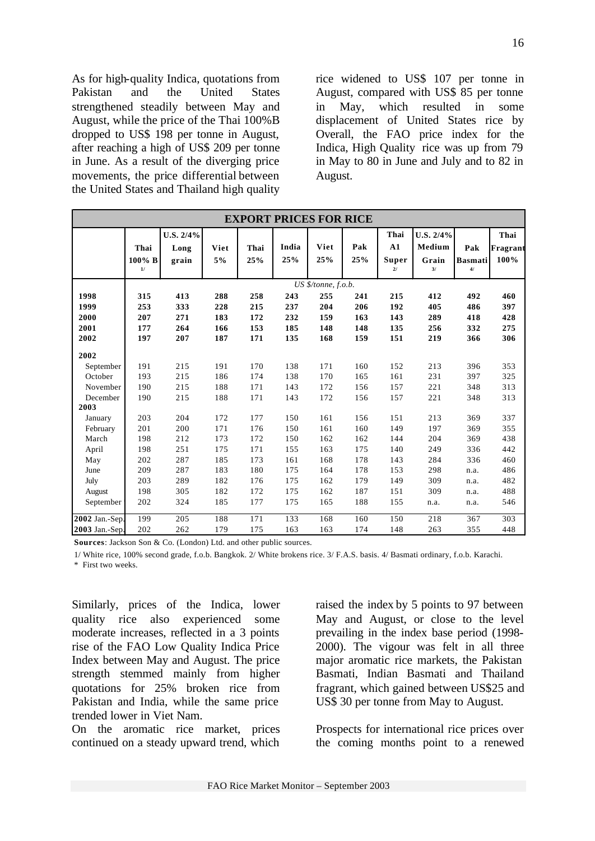As for high-quality Indica, quotations from Pakistan and the United States strengthened steadily between May and August, while the price of the Thai 100%B dropped to US\$ 198 per tonne in August, after reaching a high of US\$ 209 per tonne in June. As a result of the diverging price movements, the price differential between the United States and Thailand high quality

rice widened to US\$ 107 per tonne in August, compared with US\$ 85 per tonne in May, which resulted in some displacement of United States rice by Overall, the FAO price index for the Indica, High Quality rice was up from 79 in May to 80 in June and July and to 82 in August.

| <b>EXPORT PRICES FOR RICE</b> |                        |                               |            |             |              |                     |            |                           |                                    |                             |                          |
|-------------------------------|------------------------|-------------------------------|------------|-------------|--------------|---------------------|------------|---------------------------|------------------------------------|-----------------------------|--------------------------|
|                               | Thai<br>100% B<br>$1/$ | $U.S. 2/4\%$<br>Long<br>grain | Viet<br>5% | Thai<br>25% | India<br>25% | Viet<br>25%         | Pak<br>25% | Thai<br>A1<br>Super<br>21 | U.S. 2/4%<br>Medium<br>Grain<br>3/ | Pak<br><b>Basmati</b><br>4/ | Thai<br>Fragrant<br>100% |
|                               |                        |                               |            |             |              | US \$/tonne, f.o.b. |            |                           |                                    |                             |                          |
| 1998                          | 315                    | 413                           | 288        | 258         | 243          | 255                 | 241        | 215                       | 412                                | 492                         | 460                      |
| 1999                          | 253                    | 333                           | 228        | 215         | 237          | 204                 | 206        | 192                       | 405                                | 486                         | 397                      |
| 2000                          | 207                    | 271                           | 183        | 172         | 232          | 159                 | 163        | 143                       | 289                                | 418                         | 428                      |
| 2001                          | 177                    | 264                           | 166        | 153         | 185          | 148                 | 148        | 135                       | 256                                | 332                         | 275                      |
| 2002                          | 197                    | 207                           | 187        | 171         | 135          | 168                 | 159        | 151                       | 219                                | 366                         | 306                      |
| 2002                          |                        |                               |            |             |              |                     |            |                           |                                    |                             |                          |
| September                     | 191                    | 215                           | 191        | 170         | 138          | 171                 | 160        | 152                       | 213                                | 396                         | 353                      |
| October                       | 193                    | 215                           | 186        | 174         | 138          | 170                 | 165        | 161                       | 231                                | 397                         | 325                      |
| November                      | 190                    | 215                           | 188        | 171         | 143          | 172                 | 156        | 157                       | 221                                | 348                         | 313                      |
| December                      | 190                    | 215                           | 188        | 171         | 143          | 172                 | 156        | 157                       | 221                                | 348                         | 313                      |
| 2003                          |                        |                               |            |             |              |                     |            |                           |                                    |                             |                          |
| January                       | 203                    | 204                           | 172        | 177         | 150          | 161                 | 156        | 151                       | 213                                | 369                         | 337                      |
| February                      | 201                    | 200                           | 171        | 176         | 150          | 161                 | 160        | 149                       | 197                                | 369                         | 355                      |
| March                         | 198                    | 212                           | 173        | 172         | 150          | 162                 | 162        | 144                       | 204                                | 369                         | 438                      |
| April                         | 198                    | 251                           | 175        | 171         | 155          | 163                 | 175        | 140                       | 249                                | 336                         | 442                      |
| May                           | 202                    | 287                           | 185        | 173         | 161          | 168                 | 178        | 143                       | 284                                | 336                         | 460                      |
| June                          | 209                    | 287                           | 183        | 180         | 175          | 164                 | 178        | 153                       | 298                                | n.a.                        | 486                      |
| July                          | 203                    | 289                           | 182        | 176         | 175          | 162                 | 179        | 149                       | 309                                | n.a.                        | 482                      |
| August                        | 198                    | 305                           | 182        | 172         | 175          | 162                 | 187        | 151                       | 309                                | n.a.                        | 488                      |
| September                     | 202                    | 324                           | 185        | 177         | 175          | 165                 | 188        | 155                       | n.a.                               | n.a.                        | 546                      |
| 2002 Jan.-Sep.                | 199                    | 205                           | 188        | 171         | 133          | 168                 | 160        | 150                       | 218                                | 367                         | 303                      |
| 2003 Jan.-Sep.                | 202                    | 262                           | 179        | 175         | 163          | 163                 | 174        | 148                       | 263                                | 355                         | 448                      |

**Sources**: Jackson Son & Co. (London) Ltd. and other public sources.

1/ White rice, 100% second grade, f.o.b. Bangkok. 2/ White brokens rice. 3/ F.A.S. basis. 4/ Basmati ordinary, f.o.b. Karachi.

\* First two weeks.

Similarly, prices of the Indica, lower quality rice also experienced some moderate increases, reflected in a 3 points rise of the FAO Low Quality Indica Price Index between May and August. The price strength stemmed mainly from higher quotations for 25% broken rice from Pakistan and India, while the same price trended lower in Viet Nam.

On the aromatic rice market, prices continued on a steady upward trend, which raised the index by 5 points to 97 between May and August, or close to the level prevailing in the index base period (1998- 2000). The vigour was felt in all three major aromatic rice markets, the Pakistan Basmati, Indian Basmati and Thailand fragrant, which gained between US\$25 and US\$ 30 per tonne from May to August.

Prospects for international rice prices over the coming months point to a renewed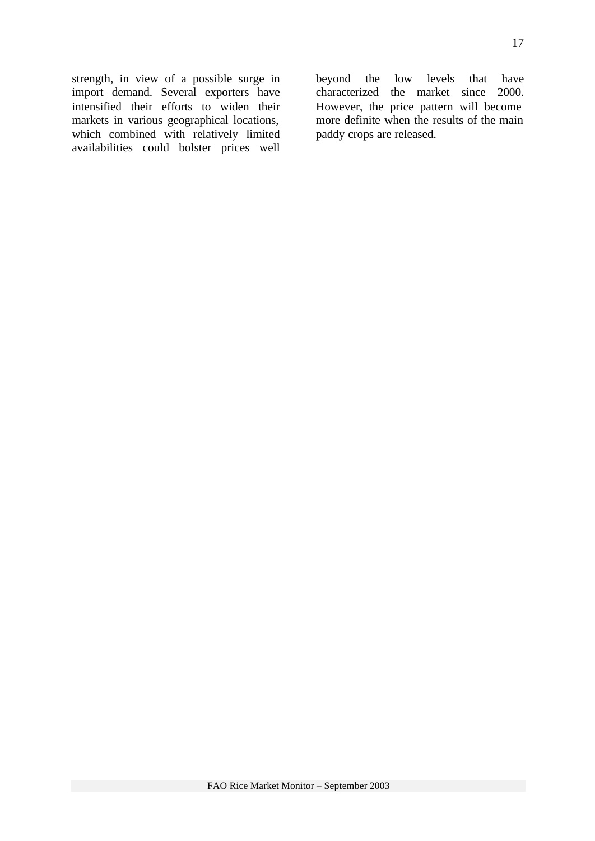strength, in view of a possible surge in import demand. Several exporters have intensified their efforts to widen their markets in various geographical locations, which combined with relatively limited availabilities could bolster prices well

beyond the low levels that have characterized the market since 2000. However, the price pattern will become more definite when the results of the main paddy crops are released.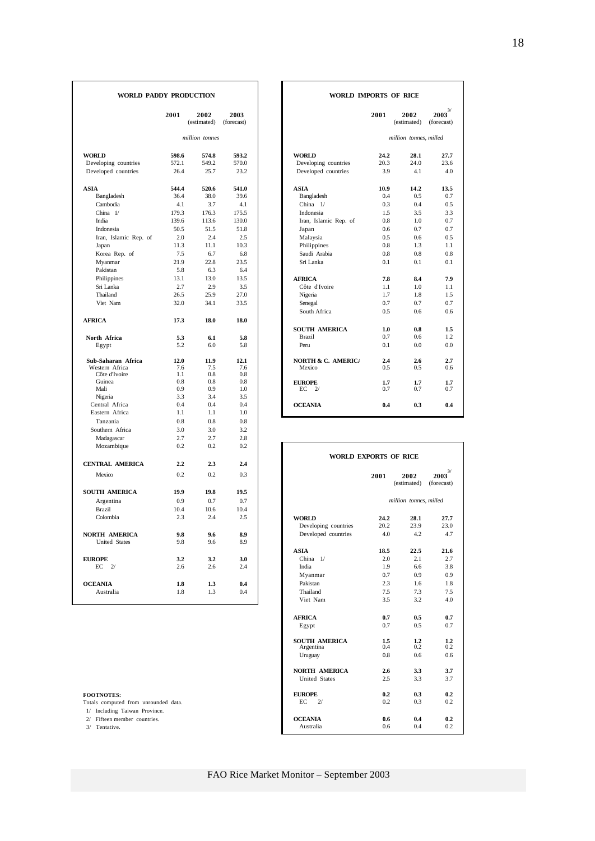| WORLD PADDY PRODUCTION                |                |                     |                    | WORLD IMPORTS OF RICE                |              |                        |                            |  |
|---------------------------------------|----------------|---------------------|--------------------|--------------------------------------|--------------|------------------------|----------------------------|--|
|                                       | 2001           | 2002<br>(estimated) | 2003<br>(forecast) |                                      | 2001         | 2002<br>(estimated)    | $2003^{3/2}$<br>(forecast) |  |
|                                       |                | million tonnes      |                    |                                      |              | million tonnes, milled |                            |  |
| <b>WORLD</b>                          | 598.6          | 574.8               | 593.2              | <b>WORLD</b>                         | 24.2         | 28.1                   | 27.7                       |  |
| Developing countries                  | 572.1          | 549.2               | 570.0              | Developing countries                 | 20.3         | 24.0                   | 23.6                       |  |
| Developed countries                   | 26.4           | 25.7                | 23.2               | Developed countries                  | 3.9          | 4.1                    | 4.0                        |  |
| <b>ASIA</b>                           | 544.4          | 520.6               | 541.0              | <b>ASIA</b>                          | 10.9         | 14.2                   | 13.5                       |  |
| Bangladesh                            | 36.4           | 38.0                | 39.6               | Bangladesh                           | 0.4          | 0.5                    | 0.7                        |  |
| Cambodia                              | 4.1            | 3.7                 | 4.1                | China 1/                             | 0.3          | 0.4                    | 0.5                        |  |
| China 1/                              | 179.3          | 176.3               | 175.5              | Indonesia                            | 1.5          | 3.5                    | 3.3                        |  |
| India                                 | 139.6          | 113.6               | 130.0              | Iran, Islamic Rep. of                | 0.8          | 1.0                    | 0.7                        |  |
| Indonesia                             | 50.5           | 51.5                | 51.8               | Japan                                | 0.6          | 0.7                    | 0.7                        |  |
| Iran, Islamic Rep. of                 | 2.0            | 2.4                 | 2.5<br>10.3        | Malaysia                             | 0.5          | 0.6                    | 0.5                        |  |
| Japan<br>Korea Rep. of                | 11.3<br>7.5    | 11.1<br>6.7         | 6.8                | Philippines<br>Saudi Arabia          | 0.8<br>0.8   | 1.3<br>0.8             | 1.1<br>0.8                 |  |
| Myanmar                               | 21.9           | 22.8                | 23.5               | Sri Lanka                            | 0.1          | 0.1                    | 0.1                        |  |
| Pakistan                              | 5.8            | 6.3                 | 6.4                |                                      |              |                        |                            |  |
|                                       |                |                     |                    |                                      |              |                        |                            |  |
| Philippines                           | 13.1           | 13.0<br>2.9         | 13.5               | <b>AFRICA</b>                        | 7.8<br>1.1   | 8.4<br>1.0             | 7.9<br>1.1                 |  |
| Sri Lanka                             | 2.7<br>26.5    | 25.9                | 3.5                | Côte d'Ivoire                        | 1.7          | 1.8                    |                            |  |
| Thailand<br>Viet Nam                  | 32.0           | 34.1                | 27.0<br>33.5       | Nigeria                              | 0.7          | 0.7                    | 1.5<br>0.7                 |  |
|                                       |                |                     |                    | Senegal<br>South Africa              | 0.5          |                        |                            |  |
|                                       |                |                     |                    |                                      |              | 0.6                    | 0.6                        |  |
| <b>AFRICA</b>                         | 17.3           | 18.0                | 18.0               |                                      |              |                        |                            |  |
|                                       |                |                     |                    | <b>SOUTH AMERICA</b>                 | 1.0<br>0.7   | 0.8                    | 1.5                        |  |
| North Africa                          | 5.3            | 6.1                 | 5.8                | <b>Brazil</b><br>Peru                | 0.1          | 0.6<br>0.0             | 1.2                        |  |
| Egypt                                 | 5.2            | 6.0                 | 5.8                |                                      |              |                        | 0.0                        |  |
| Sub-Saharan Africa                    | 12.0           | 11.9                | 12.1               | <b>NORTH &amp; C. AMERICA</b>        | 2.4          | 2.6                    | 2.7                        |  |
| Western Africa                        | 7.6            | 7.5                 | 7.6                | Mexico                               | 0.5          | 0.5                    | 0.6                        |  |
| Côte d'Ivoire                         | 1.1            | 0.8                 | 0.8                |                                      |              |                        |                            |  |
| Guinea                                | 0.8            | 0.8                 | 0.8                | <b>EUROPE</b>                        | 1.7          | 1.7                    | 1.7                        |  |
| Mali                                  | 0.9            | 0.9                 | 1.0                | EC<br>2l                             | 0.7          | 0.7                    | 0.7                        |  |
| Nigeria                               | 3.3            | 3.4                 | 3.5                |                                      |              |                        |                            |  |
| Central Africa                        | 0.4            | 0.4                 | 0.4                | <b>OCEANIA</b>                       | 0.4          | 0.3                    | 0.4                        |  |
| Eastern Africa                        | 1.1            | 1.1                 | 1.0                |                                      |              |                        |                            |  |
| Tanzania                              | 0.8            | 0.8                 | 0.8                |                                      |              |                        |                            |  |
| Southern Africa                       | 3.0            | 3.0                 | 3.2                |                                      |              |                        |                            |  |
| Madagascar                            | 2.7            | 2.7                 | 2.8                |                                      |              |                        |                            |  |
| Mozambique                            | 0.2            | 0.2                 | 0.2                | <b>WORLD EXPORTS OF RICE</b>         |              |                        |                            |  |
| <b>CENTRAL AMERICA</b>                | 2.2            | 2.3                 | 2.4                |                                      |              |                        |                            |  |
| Mexico                                | 0.2            | 0.2                 | 0.3                |                                      | 2001         | 2002<br>(estimated)    | $2003^{3/2}$<br>(forecast) |  |
| <b>SOUTH AMERICA</b>                  | 19.9           | 19.8                | 19.5               |                                      |              |                        |                            |  |
|                                       | 0.9            | 0.7                 | 0.7                |                                      |              | million tonnes, milled |                            |  |
| Argentina<br><b>Brazil</b>            | 10.4           | 10.6                | 10.4               |                                      |              |                        |                            |  |
| Colombia                              | 2.3            | 2.4                 | 2.5                |                                      |              |                        | 27.7                       |  |
|                                       |                |                     |                    | <b>WORLD</b><br>Developing countries | 24.2<br>20.2 | 28.1<br>23.9           | 23.0                       |  |
|                                       | 9.8            | 9.6                 | 8.9                | Developed countries                  | 4.0          | 4.2                    | 4.7                        |  |
| NORTH AMERICA<br><b>United States</b> | 9.8            | 9.6                 | 8.9                |                                      |              |                        |                            |  |
|                                       |                |                     |                    | <b>ASIA</b>                          | 18.5         | 22.5                   |                            |  |
| <b>EUROPE</b>                         |                | 3.2                 | 3.0                | China 1/                             | 2.0          | 2.1                    | 21.6<br>2.7                |  |
| EС<br>2/                              | 3.2<br>$2.6\,$ | 2.6                 | 2.4                | India                                | 1.9          | 6.6                    | 3.8                        |  |
|                                       |                |                     |                    |                                      | 0.7          | 0.9                    | 0.9                        |  |
|                                       |                |                     |                    | Myanmar                              |              |                        |                            |  |
| <b>OCEANIA</b>                        | 1.8            | 1.3                 | 0.4                | Pakistan                             | 2.3          | 1.6                    | 1.8                        |  |
| Australia                             | 1.8            | 1.3                 | 0.4                | Thailand                             | 7.5          | 7.3                    | 7.5                        |  |
|                                       |                |                     |                    | Viet Nam                             | 3.5          | 3.2                    | 4.0                        |  |

|  | FOOTNOTES: |
|--|------------|
|  |            |

| <b>DY PRODUCTION</b> |                     |                    | WORLD IMPORTS OF RICE                |                                        |
|----------------------|---------------------|--------------------|--------------------------------------|----------------------------------------|
| 2001                 | 2002<br>(estimated) | 2003<br>(forecast) | 2002<br>2001<br>(estimated)          | $\boldsymbol{2003}^{3/}$<br>(forecast) |
|                      | million tonnes      |                    |                                      | million tonnes, milled                 |
| 598.6                | 574.8               | 593.2              | <b>WORLD</b><br>24.2                 | 28.1<br>27.7                           |
| 572.1                | 549.2               | 570.0              | Developing countries<br>20.3         | 24.0<br>23.6                           |
| 26.4                 | 25.7                | 23.2               | Developed countries<br>3.9           | 4.1<br>4.0                             |
| 544.4                | 520.6               | 541.0              | <b>ASIA</b><br>10.9                  | 14.2<br>13.5                           |
| 36.4                 | 38.0                | 39.6               | Bangladesh<br>0.4                    | 0.5<br>0.7                             |
| 4.1                  | 3.7                 | 4.1                | China $1/$<br>0.3                    | 0.4<br>0.5                             |
| 179.3                | 176.3               | 175.5              | Indonesia<br>1.5                     | 3.5<br>3.3                             |
| 139.6                | 113.6               | 130.0              | Iran, Islamic Rep. of<br>0.8         | 1.0<br>0.7                             |
| 50.5                 | 51.5                | 51.8               | 0.6<br>Japan                         | 0.7<br>0.7                             |
| 2.0                  | 2.4                 | 2.5                | Malaysia<br>0.5                      | 0.6<br>0.5                             |
| 11.3                 | 11.1                | 10.3               | Philippines<br>0.8                   | 1.3<br>1.1                             |
| 7.5                  | 6.7                 | 6.8                | Saudi Arabia<br>0.8                  | 0.8<br>0.8                             |
| 21.9                 | 22.8                | 23.5               | Sri Lanka<br>0.1                     | 0.1<br>0.1                             |
| 5.8                  | 6.3                 | 6.4                |                                      |                                        |
| 13.1                 | 13.0                | 13.5               | <b>AFRICA</b><br>7.8                 | 8.4<br>7.9                             |
| 2.7                  | 2.9                 | 3.5                | Côte d'Ivoire<br>1.1                 | 1.0<br>1.1                             |
| 26.5                 | 25.9                | 27.0               | 1.7<br>Nigeria                       | 1.8<br>1.5                             |
| 32.0                 | 34.1                | 33.5               | Senegal<br>0.7                       | 0.7<br>0.7                             |
|                      |                     |                    | South Africa<br>0.5                  | 0.6<br>0.6                             |
| 17.3                 | 18.0                | 18.0               |                                      |                                        |
|                      |                     |                    | <b>SOUTH AMERICA</b><br>1.0          | 0.8<br>1.5                             |
| 5.3                  | 6.1                 | 5.8                | 0.7<br><b>Brazil</b>                 | 1.2<br>0.6                             |
| 5.2                  | 6.0                 | 5.8                | 0.1<br>Peru                          | 0.0<br>0.0                             |
| 12.0                 | 11.9                | 12.1               | <b>NORTH &amp; C. AMERICA</b><br>2.4 | 2.6<br>2.7                             |
| 7.6                  | 7.5                 | 7.6                | Mexico<br>0.5                        | 0.5<br>0.6                             |
| 1.1                  | 0.8                 | 0.8                |                                      |                                        |
| 0.8                  | 0.8                 | 0.8                | <b>EUROPE</b><br>1.7                 | 1.7<br>1.7                             |
| 0.9<br>3.3           | 0.9                 | 1.0<br>3.5         | EС<br>2/<br>0.7                      | 0.7<br>0.7                             |
|                      | 3.4                 |                    |                                      |                                        |

| Mozambique                           | 0.2  | 0.2  | 0.2  |                       |      |                        |                            |
|--------------------------------------|------|------|------|-----------------------|------|------------------------|----------------------------|
|                                      |      |      |      | WORLD EXPORTS OF RICE |      |                        |                            |
| <b>CENTRAL AMERICA</b>               | 2.2  | 2.3  | 2.4  |                       |      |                        |                            |
| Mexico                               | 0.2  | 0.2  | 0.3  |                       | 2001 | 2002<br>(estimated)    | $2003^{3/2}$<br>(forecast) |
| <b>SOUTH AMERICA</b>                 | 19.9 | 19.8 | 19.5 |                       |      |                        |                            |
| Argentina                            | 0.9  | 0.7  | 0.7  |                       |      | million tonnes, milled |                            |
| <b>Brazil</b>                        | 10.4 | 10.6 | 10.4 |                       |      |                        |                            |
| Colombia                             | 2.3  | 2.4  | 2.5  | <b>WORLD</b>          | 24.2 | 28.1                   | 27.7                       |
|                                      |      |      |      | Developing countries  | 20.2 | 23.9                   | 23.0                       |
| NORTH AMERICA                        | 9.8  | 9.6  | 8.9  | Developed countries   | 4.0  | 4.2                    | 4.7                        |
| <b>United States</b>                 | 9.8  | 9.6  | 8.9  |                       |      |                        |                            |
|                                      |      |      |      | <b>ASIA</b>           | 18.5 | 22.5                   | 21.6                       |
| <b>EUROPE</b>                        | 3.2  | 3.2  | 3.0  | China $1/$            | 2.0  | 2.1                    | 2.7                        |
| $EC$ 2/                              | 2.6  | 2.6  | 2.4  | India                 | 1.9  | 6.6                    |                            |
|                                      |      |      |      | Myanmar               | 0.7  | 0.9                    | 0.9                        |
| <b>OCEANIA</b>                       | 1.8  | 1.3  | 0.4  | Pakistan              | 2.3  | 1.6                    | 1.8                        |
| Australia                            | 1.8  | 1.3  | 0.4  | Thailand              | 7.5  | 7.3                    | 7.5                        |
|                                      |      |      |      | Viet Nam              | 3.5  | 3.2                    | 4.0                        |
|                                      |      |      |      | <b>AFRICA</b>         | 0.7  | 0.5                    | 0.7                        |
|                                      |      |      |      | Egypt                 | 0.7  | 0.5                    | 0.7                        |
|                                      |      |      |      | <b>SOUTH AMERICA</b>  | 1.5  | 1.2                    | 1.2                        |
|                                      |      |      |      | Argentina             | 0.4  | 0.2                    | 0.2                        |
|                                      |      |      |      | Uruguay               | 0.8  | 0.6                    | 0.6                        |
|                                      |      |      |      | <b>NORTH AMERICA</b>  | 2.6  | 3.3                    | 3.7                        |
|                                      |      |      |      | <b>United States</b>  | 2.5  | 3.3                    | 3.7                        |
| <b>FOOTNOTES:</b>                    |      |      |      | <b>EUROPE</b>         | 0.2  | 0.3                    | 0.2                        |
| Totals computed from unrounded data. |      |      |      | EC<br>2/              | 0.2  | 0.3                    | 0.2                        |
| 1/ Including Taiwan Province.        |      |      |      |                       |      |                        |                            |
| 2/ Fifteen member countries.         |      |      |      | <b>OCEANIA</b>        | 0.6  | 0.4                    | 0.2                        |
| 3/ Tentative.                        |      |      |      | Australia             | 0.6  | 0.4                    | 0.2                        |